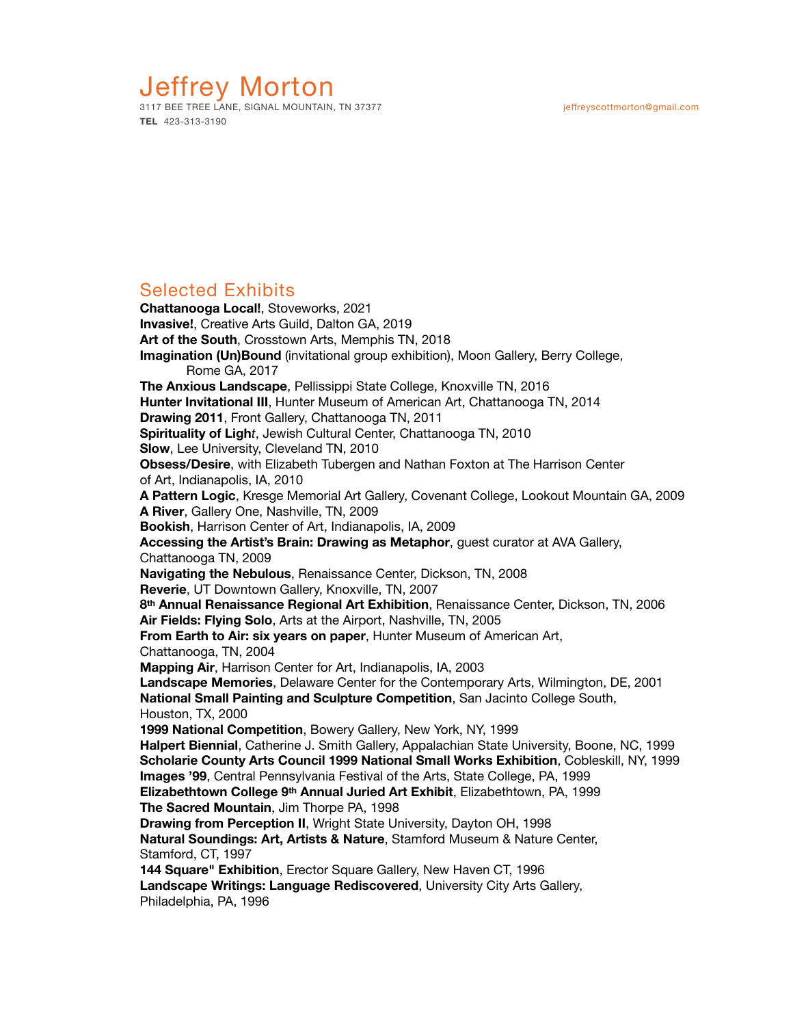## Jeffrey Morton 3117 BEE TREE LANE, SIGNAL MOUNTAIN, TN 37377 jeffreyscottmorton@gmail.com

**TEL** 423-313-3190

# Selected Exhibits

**Chattanooga Local!**, Stoveworks, 2021 **Invasive!**, Creative Arts Guild, Dalton GA, 2019 **Art of the South**, Crosstown Arts, Memphis TN, 2018 **Imagination (Un)Bound** (invitational group exhibition), Moon Gallery, Berry College, Rome GA, 2017 **The Anxious Landscape**, Pellissippi State College, Knoxville TN, 2016 **Hunter Invitational III**, Hunter Museum of American Art, Chattanooga TN, 2014 **Drawing 2011**, Front Gallery, Chattanooga TN, 2011 **Spirituality of Ligh***t*, Jewish Cultural Center, Chattanooga TN, 2010 **Slow**, Lee University, Cleveland TN, 2010 **Obsess/Desire**, with Elizabeth Tubergen and Nathan Foxton at The Harrison Center of Art, Indianapolis, IA, 2010 **A Pattern Logic**, Kresge Memorial Art Gallery, Covenant College, Lookout Mountain GA, 2009 **A River**, Gallery One, Nashville, TN, 2009 **Bookish**, Harrison Center of Art, Indianapolis, IA, 2009 **Accessing the Artist's Brain: Drawing as Metaphor**, guest curator at AVA Gallery, Chattanooga TN, 2009 **Navigating the Nebulous**, Renaissance Center, Dickson, TN, 2008 **Reverie**, UT Downtown Gallery, Knoxville, TN, 2007 **8th Annual Renaissance Regional Art Exhibition**, Renaissance Center, Dickson, TN, 2006 **Air Fields: Flying Solo**, Arts at the Airport, Nashville, TN, 2005 **From Earth to Air: six years on paper**, Hunter Museum of American Art, Chattanooga, TN, 2004 **Mapping Air**, Harrison Center for Art, Indianapolis, IA, 2003 **Landscape Memories**, Delaware Center for the Contemporary Arts, Wilmington, DE, 2001 **National Small Painting and Sculpture Competition**, San Jacinto College South, Houston, TX, 2000 **1999 National Competition**, Bowery Gallery, New York, NY, 1999 **Halpert Biennial**, Catherine J. Smith Gallery, Appalachian State University, Boone, NC, 1999 **Scholarie County Arts Council 1999 National Small Works Exhibition**, Cobleskill, NY, 1999 **Images '99**, Central Pennsylvania Festival of the Arts, State College, PA, 1999 **Elizabethtown College 9th Annual Juried Art Exhibit**, Elizabethtown, PA, 1999 **The Sacred Mountain**, Jim Thorpe PA, 1998 **Drawing from Perception II**, Wright State University, Dayton OH, 1998 **Natural Soundings: Art, Artists & Nature**, Stamford Museum & Nature Center, Stamford, CT, 1997 **144 Square" Exhibition**, Erector Square Gallery, New Haven CT, 1996 **Landscape Writings: Language Rediscovered**, University City Arts Gallery, Philadelphia, PA, 1996